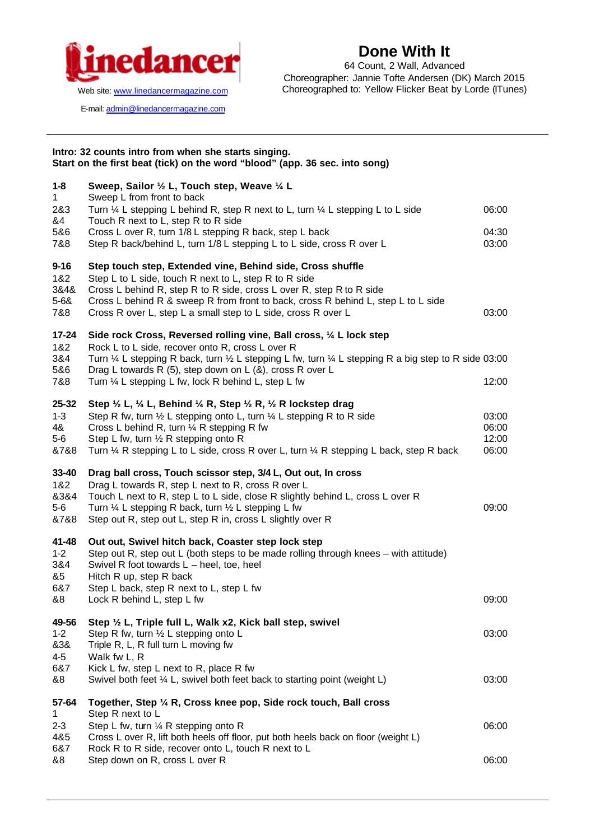

E-mail: admin@linedancermagazine.com

## **Done With It**

64 Count, 2 Wall, Advanced Choreographer: Jannie Tofte Andersen (DK) March 2015 Choreographed to: Yellow Flicker Beat by Lorde (ITunes)

| Intro: 32 counts intro from when she starts singing.<br>Start on the first beat (tick) on the word "blood" (app. 36 sec. into song) |                                                                                                                                                                                                                                                                                                                                                                                           |                                  |  |  |
|-------------------------------------------------------------------------------------------------------------------------------------|-------------------------------------------------------------------------------------------------------------------------------------------------------------------------------------------------------------------------------------------------------------------------------------------------------------------------------------------------------------------------------------------|----------------------------------|--|--|
| $1 - 8$<br>1<br>2&3                                                                                                                 | Sweep, Sailor 1/2 L, Touch step, Weave 1/4 L<br>Sweep L from front to back<br>Turn 1/4 L stepping L behind R, step R next to L, turn 1/4 L stepping L to L side                                                                                                                                                                                                                           | 06:00                            |  |  |
| &4<br>5&6<br>7&8                                                                                                                    | Touch R next to L, step R to R side<br>Cross L over R, turn 1/8 L stepping R back, step L back<br>Step R back/behind L, turn 1/8 L stepping L to L side, cross R over L                                                                                                                                                                                                                   | 04:30<br>03:00                   |  |  |
| $9 - 16$<br>1&2<br>3&4&<br>$5 - 68$<br>7&8                                                                                          | Step touch step, Extended vine, Behind side, Cross shuffle<br>Step L to L side, touch R next to L, step R to R side<br>Cross L behind R, step R to R side, cross L over R, step R to R side<br>Cross L behind R & sweep R from front to back, cross R behind L, step L to L side<br>Cross R over L, step L a small step to L side, cross R over L                                         | 03:00                            |  |  |
| $17 - 24$<br>1&2<br>3&4<br>5&6<br>7&8                                                                                               | Side rock Cross, Reversed rolling vine, Ball cross, 1/4 L lock step<br>Rock L to L side, recover onto R, cross L over R<br>Turn $\frac{1}{4}$ L stepping R back, turn $\frac{1}{2}$ L stepping L fw, turn $\frac{1}{4}$ L stepping R a big step to R side 03:00<br>Drag L towards R (5), step down on L (&), cross R over L<br>Turn 1/4 L stepping L fw, lock R behind L, step L fw       | 12:00                            |  |  |
| 25-32<br>$1 - 3$<br>4&<br>$5-6$<br>&7&8                                                                                             | Step $\frac{1}{2}$ L, $\frac{1}{4}$ L, Behind $\frac{1}{4}$ R, Step $\frac{1}{2}$ R, $\frac{1}{2}$ R lockstep drag<br>Step R fw, turn 1/2 L stepping onto L, turn 1/4 L stepping R to R side<br>Cross L behind R, turn 1/4 R stepping R fw<br>Step L fw, turn $\frac{1}{2}$ R stepping onto R<br>Turn 1/4 R stepping L to L side, cross R over L, turn 1/4 R stepping L back, step R back | 03:00<br>06:00<br>12:00<br>06:00 |  |  |
| $33 - 40$<br>1&2<br>8384<br>5-6<br>&7&8                                                                                             | Drag ball cross, Touch scissor step, 3/4 L, Out out, In cross<br>Drag L towards R, step L next to R, cross R over L<br>Touch L next to R, step L to L side, close R slightly behind L, cross L over R<br>Turn $\frac{1}{4}$ L stepping R back, turn $\frac{1}{2}$ L stepping L fw<br>Step out R, step out L, step R in, cross L slightly over R                                           | 09:00                            |  |  |
| 41-48<br>$1 - 2$<br>3&4<br>&5<br>6&7<br>&8                                                                                          | Out out, Swivel hitch back, Coaster step lock step<br>Step out R, step out L (both steps to be made rolling through knees - with attitude)<br>Swivel R foot towards $L$ – heel, toe, heel<br>Hitch R up, step R back<br>Step L back, step R next to L, step L fw<br>Lock R behind L, step L fw                                                                                            | 09:00                            |  |  |
| 49-56<br>$1 - 2$<br>&3&<br>$4 - 5$<br>6&7<br>&8                                                                                     | Step 1/2 L, Triple full L, Walk x2, Kick ball step, swivel<br>Step R fw, turn $\frac{1}{2}$ L stepping onto L<br>Triple R, L, R full turn L moving fw<br>Walk fw L, R<br>Kick L fw, step L next to R, place R fw<br>Swivel both feet 1/4 L, swivel both feet back to starting point (weight L)                                                                                            | 03:00<br>03:00                   |  |  |
| 57-64<br>1<br>$2 - 3$<br>4&5                                                                                                        | Together, Step 1/4 R, Cross knee pop, Side rock touch, Ball cross<br>Step R next to L<br>Step L fw, turn 1/4 R stepping onto R<br>Cross L over R, lift both heels off floor, put both heels back on floor (weight L)                                                                                                                                                                      | 06:00                            |  |  |
| 6&7<br>&8                                                                                                                           | Rock R to R side, recover onto L, touch R next to L<br>Step down on R, cross L over R                                                                                                                                                                                                                                                                                                     | 06:00                            |  |  |